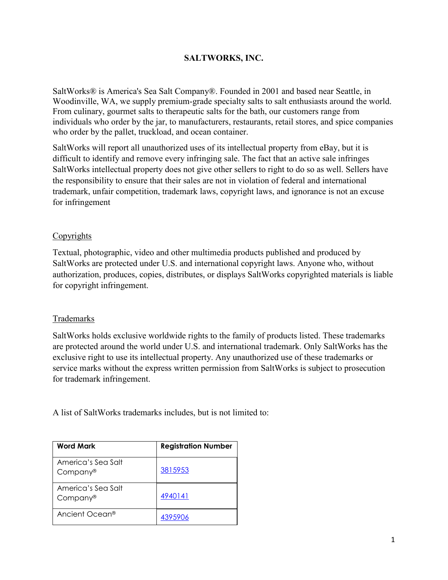## **SALTWORKS, INC.**

SaltWorks® is America's Sea Salt Company®. Founded in 2001 and based near Seattle, in Woodinville, WA, we supply premium-grade specialty salts to salt enthusiasts around the world. From culinary, gourmet salts to therapeutic salts for the bath, our customers range from individuals who order by the jar, to manufacturers, restaurants, retail stores, and spice companies who order by the pallet, truckload, and ocean container.

SaltWorks will report all unauthorized uses of its intellectual property from eBay, but it is difficult to identify and remove every infringing sale. The fact that an active sale infringes SaltWorks intellectual property does not give other sellers to right to do so as well. Sellers have the responsibility to ensure that their sales are not in violation of federal and international trademark, unfair competition, trademark laws, copyright laws, and ignorance is not an excuse for infringement

## Copyrights

Textual, photographic, video and other multimedia products published and produced by SaltWorks are protected under U.S. and international copyright laws. Anyone who, without authorization, produces, copies, distributes, or displays SaltWorks copyrighted materials is liable for copyright infringement.

## Trademarks

SaltWorks holds exclusive worldwide rights to the family of products listed. These trademarks are protected around the world under U.S. and international trademark. Only SaltWorks has the exclusive right to use its intellectual property. Any unauthorized use of these trademarks or service marks without the express written permission from SaltWorks is subject to prosecution for trademark infringement.

A list of SaltWorks trademarks includes, but is not limited to:

| <b>Word Mark</b>                           | <b>Registration Number</b> |
|--------------------------------------------|----------------------------|
| America's Sea Salt<br>Company <sup>®</sup> | 3815953                    |
| America's Sea Salt<br>Company <sup>®</sup> | 4940141                    |
| Ancient Ocean <sup>®</sup>                 | 4395906                    |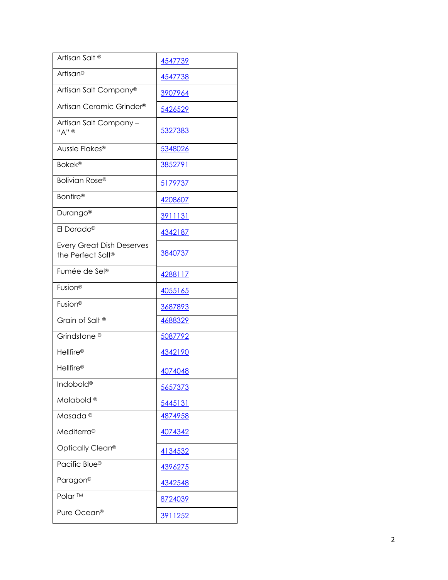| Artisan Salt <sup>®</sup>                             | 4547739        |
|-------------------------------------------------------|----------------|
| Artisan®                                              | 4547738        |
| Artisan Salt Company®                                 | 3907964        |
| Artisan Ceramic Grinder <sup>®</sup>                  | 5426529        |
| Artisan Salt Company-<br>"A" ®                        | 5327383        |
| Aussie Flakes®                                        | 5348026        |
| <b>Bokek®</b>                                         | 3852791        |
| Bolivian Rose®                                        | 5179737        |
| <b>Bonfire®</b>                                       | 4208607        |
| Durango <sup>®</sup>                                  | <u>3911131</u> |
| El Dorado®                                            | 4342187        |
| <b>Every Great Dish Deserves</b><br>the Perfect Salt® | 3840737        |
| Fumée de Sel®                                         | 4288117        |
| Fusion <sup>®</sup>                                   | 4055165        |
| Fusion <sup>®</sup>                                   | 3687893        |
| Grain of Salt <sup>®</sup>                            | 4688329        |
| Grindstone <sup>®</sup>                               | 5087792        |
| <b>Hellfire®</b>                                      | 4342190        |
| <b>Hellfire®</b>                                      | 4074048        |
| Indobold®                                             | 5657373        |
| Malabold <sup>®</sup>                                 | 5445131        |
| Masada <sup>®</sup>                                   | 4874958        |
| <b>Mediterra®</b>                                     | 4074342        |
| Optically Clean <sup>®</sup>                          | 4134532        |
| Pacific Blue®                                         | 4396275        |
| Paragon®                                              | 4342548        |
| Polar <sup>TM</sup>                                   | 8724039        |
| Pure Ocean®                                           | 3911252        |